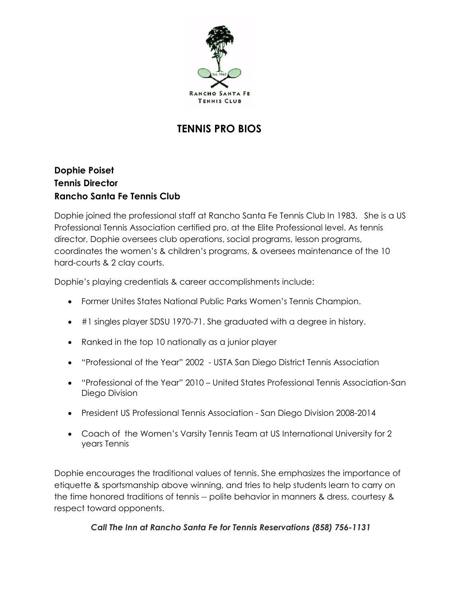

# **TENNIS PRO BIOS**

## **Dophie Poiset Tennis Director Rancho Santa Fe Tennis Club**

Dophie joined the professional staff at Rancho Santa Fe Tennis Club In 1983. She is a US Professional Tennis Association certified pro, at the Elite Professional level. As tennis director, Dophie oversees club operations, social programs, lesson programs, coordinates the women's & children's programs, & oversees maintenance of the 10 hard-courts & 2 clay courts.

Dophie's playing credentials & career accomplishments include:

- Former Unites States National Public Parks Women's Tennis Champion.
- #1 singles player SDSU 1970-71. She graduated with a degree in history.
- Ranked in the top 10 nationally as a junior player
- "Professional of the Year" 2002 USTA San Diego District Tennis Association
- "Professional of the Year" 2010 United States Professional Tennis Association-San Diego Division
- President US Professional Tennis Association San Diego Division 2008-2014
- Coach of the Women's Varsity Tennis Team at US International University for 2 years Tennis

Dophie encourages the traditional values of tennis. She emphasizes the importance of etiquette & sportsmanship above winning, and tries to help students learn to carry on the time honored traditions of tennis -- polite behavior in manners & dress, courtesy & respect toward opponents.

### *Call The Inn at Rancho Santa Fe for Tennis Reservations (858) 756-1131*